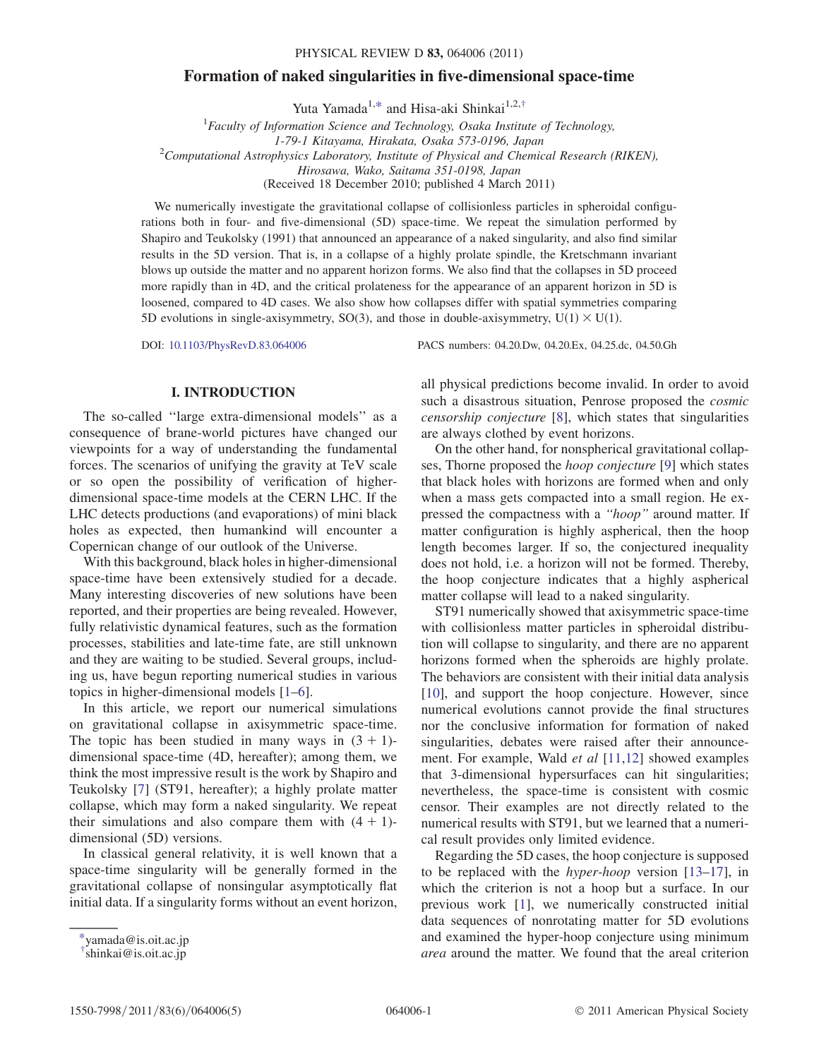# Formation of naked singularities in five-dimensional space-time

Yuta Yamada<sup>1,[\\*](#page-0-0)</sup> and Hisa-aki Shinkai<sup>1,2[,†](#page-0-1)</sup>

<span id="page-0-2"></span> ${}^{1}$ Faculty of Information Science and Technology, Osaka Institute of Technology, 1-79-1 Kitayama, Hirakata, Osaka 573-0196, Japan<br><sup>2</sup>Computational Astrophysics Laboratory, Institute of Physical and Chemical Research (RIKEN), Hirosawa, Wako, Saitama 351-0198, Japan (Received 18 December 2010; published 4 March 2011)

We numerically investigate the gravitational collapse of collisionless particles in spheroidal configurations both in four- and five-dimensional (5D) space-time. We repeat the simulation performed by Shapiro and Teukolsky (1991) that announced an appearance of a naked singularity, and also find similar results in the 5D version. That is, in a collapse of a highly prolate spindle, the Kretschmann invariant blows up outside the matter and no apparent horizon forms. We also find that the collapses in 5D proceed more rapidly than in 4D, and the critical prolateness for the appearance of an apparent horizon in 5D is loosened, compared to 4D cases. We also show how collapses differ with spatial symmetries comparing 5D evolutions in single-axisymmetry, SO(3), and those in double-axisymmetry,  $U(1) \times U(1)$ .

DOI: [10.1103/PhysRevD.83.064006](http://dx.doi.org/10.1103/PhysRevD.83.064006) PACS numbers: 04.20.Dw, 04.20.Ex, 04.25.dc, 04.50.Gh

## I. INTRODUCTION

The so-called ''large extra-dimensional models'' as a consequence of brane-world pictures have changed our viewpoints for a way of understanding the fundamental forces. The scenarios of unifying the gravity at TeV scale or so open the possibility of verification of higherdimensional space-time models at the CERN LHC. If the LHC detects productions (and evaporations) of mini black holes as expected, then humankind will encounter a Copernican change of our outlook of the Universe.

With this background, black holes in higher-dimensional space-time have been extensively studied for a decade. Many interesting discoveries of new solutions have been reported, and their properties are being revealed. However, fully relativistic dynamical features, such as the formation processes, stabilities and late-time fate, are still unknown and they are waiting to be studied. Several groups, including us, have begun reporting numerical studies in various topics in higher-dimensional models [\[1–](#page-4-0)[6](#page-4-1)].

In this article, we report our numerical simulations on gravitational collapse in axisymmetric space-time. The topic has been studied in many ways in  $(3 + 1)$ dimensional space-time (4D, hereafter); among them, we think the most impressive result is the work by Shapiro and Teukolsky [\[7](#page-4-2)] (ST91, hereafter); a highly prolate matter collapse, which may form a naked singularity. We repeat their simulations and also compare them with  $(4 + 1)$ dimensional (5D) versions.

In classical general relativity, it is well known that a space-time singularity will be generally formed in the gravitational collapse of nonsingular asymptotically flat initial data. If a singularity forms without an event horizon,

all physical predictions become invalid. In order to avoid such a disastrous situation, Penrose proposed the cosmic censorship conjecture [\[8](#page-4-3)], which states that singularities are always clothed by event horizons.

On the other hand, for nonspherical gravitational collapses, Thorne proposed the hoop conjecture [[9](#page-4-4)] which states that black holes with horizons are formed when and only when a mass gets compacted into a small region. He expressed the compactness with a ''hoop'' around matter. If matter configuration is highly aspherical, then the hoop length becomes larger. If so, the conjectured inequality does not hold, i.e. a horizon will not be formed. Thereby, the hoop conjecture indicates that a highly aspherical matter collapse will lead to a naked singularity.

ST91 numerically showed that axisymmetric space-time with collisionless matter particles in spheroidal distribution will collapse to singularity, and there are no apparent horizons formed when the spheroids are highly prolate. The behaviors are consistent with their initial data analysis [\[10\]](#page-4-5), and support the hoop conjecture. However, since numerical evolutions cannot provide the final structures nor the conclusive information for formation of naked singularities, debates were raised after their announcement. For example, Wald *et al* [\[11,](#page-4-6)[12\]](#page-4-7) showed examples that 3-dimensional hypersurfaces can hit singularities; nevertheless, the space-time is consistent with cosmic censor. Their examples are not directly related to the numerical results with ST91, but we learned that a numerical result provides only limited evidence.

Regarding the 5D cases, the hoop conjecture is supposed to be replaced with the hyper-hoop version [[13](#page-4-8)–[17](#page-4-9)], in which the criterion is not a hoop but a surface. In our previous work [\[1\]](#page-4-0), we numerically constructed initial data sequences of nonrotating matter for 5D evolutions and examined the hyper-hoop conjecture using minimum area around the matter. We found that the areal criterion

<span id="page-0-0"></span>[<sup>\\*</sup>y](#page-0-2)amada@is.oit.ac.jp

<span id="page-0-1"></span>[<sup>†</sup>](#page-0-2) shinkai@is.oit.ac.jp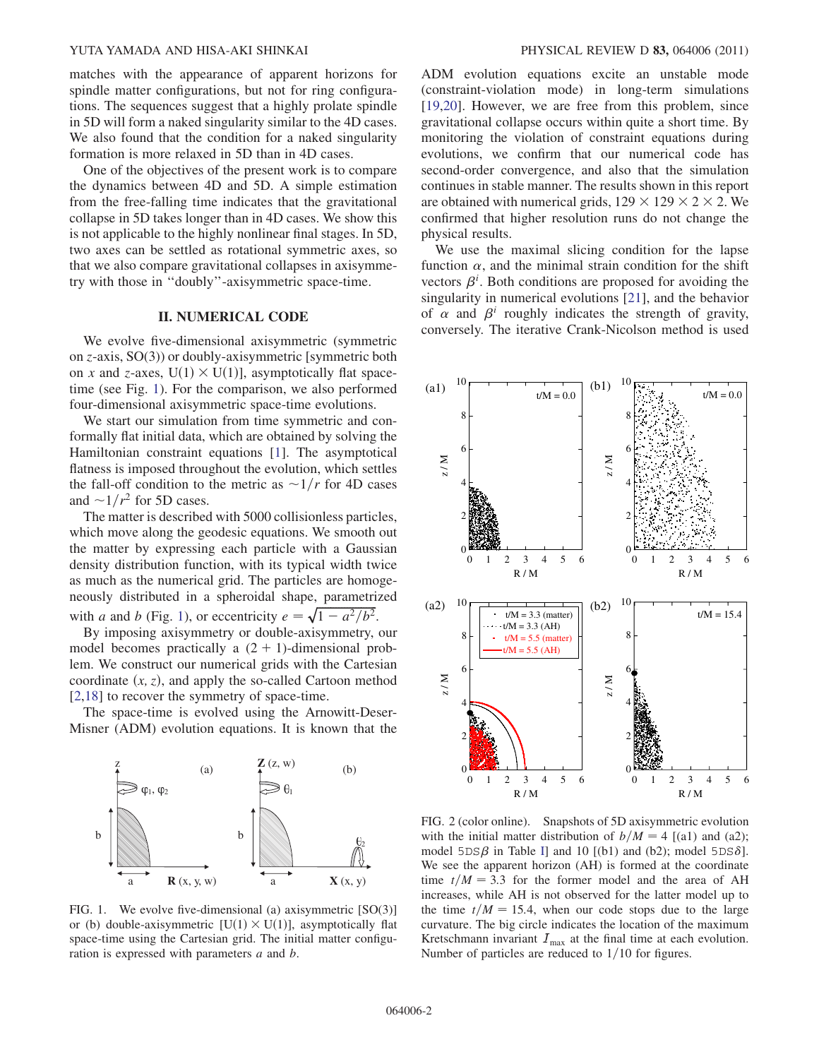#### YUTA YAMADA AND HISA-AKI SHINKAI PHYSICAL REVIEW D 83, 064006 (2011)

matches with the appearance of apparent horizons for spindle matter configurations, but not for ring configurations. The sequences suggest that a highly prolate spindle in 5D will form a naked singularity similar to the 4D cases. We also found that the condition for a naked singularity formation is more relaxed in 5D than in 4D cases.

One of the objectives of the present work is to compare the dynamics between 4D and 5D. A simple estimation from the free-falling time indicates that the gravitational collapse in 5D takes longer than in 4D cases. We show this is not applicable to the highly nonlinear final stages. In 5D, two axes can be settled as rotational symmetric axes, so that we also compare gravitational collapses in axisymmetry with those in ''doubly''-axisymmetric space-time.

## II. NUMERICAL CODE

We evolve five-dimensional axisymmetric (symmetric on z-axis, SO(3)) or doubly-axisymmetric [symmetric both on x and z-axes,  $U(1) \times U(1)$ , asymptotically flat spacetime (see Fig. [1](#page-1-0)). For the comparison, we also performed four-dimensional axisymmetric space-time evolutions.

We start our simulation from time symmetric and conformally flat initial data, which are obtained by solving the Hamiltonian constraint equations [\[1](#page-4-0)]. The asymptotical flatness is imposed throughout the evolution, which settles the fall-off condition to the metric as  $\sim 1/r$  for 4D cases and  $\sim 1/r^2$  for 5D cases.

The matter is described with 5000 collisionless particles, which move along the geodesic equations. We smooth out the matter by expressing each particle with a Gaussian density distribution function, with its typical width twice as much as the numerical grid. The particles are homogeneously distributed in a spheroidal shape, parametrized meously distributed in a spheroidal shape, parametrix<br>with a and b (Fig. [1\)](#page-1-0), or eccentricity  $e = \sqrt{1 - a^2/b^2}$ .

By imposing axisymmetry or double-axisymmetry, our model becomes practically a  $(2 + 1)$ -dimensional problem. We construct our numerical grids with the Cartesian coordinate  $(x, z)$ , and apply the so-called Cartoon method [\[2,](#page-4-10)[18\]](#page-4-11) to recover the symmetry of space-time.

The space-time is evolved using the Arnowitt-Deser-Misner (ADM) evolution equations. It is known that the

<span id="page-1-0"></span>

FIG. 1. We evolve five-dimensional (a) axisymmetric [SO(3)] or (b) double-axisymmetric  $[U(1) \times U(1)]$ , asymptotically flat space-time using the Cartesian grid. The initial matter configuration is expressed with parameters a and b.

ADM evolution equations excite an unstable mode (constraint-violation mode) in long-term simulations [\[19](#page-4-12)[,20\]](#page-4-13). However, we are free from this problem, since gravitational collapse occurs within quite a short time. By monitoring the violation of constraint equations during evolutions, we confirm that our numerical code has second-order convergence, and also that the simulation continues in stable manner. The results shown in this report are obtained with numerical grids,  $129 \times 129 \times 2 \times 2$ . We confirmed that higher resolution runs do not change the physical results.

We use the maximal slicing condition for the lapse function  $\alpha$ , and the minimal strain condition for the shift vectors  $\beta^i$ . Both conditions are proposed for avoiding the singularity in numerical evolutions [\[21\]](#page-4-14), and the behavior of  $\alpha$  and  $\beta^i$  roughly indicates the strength of gravity, conversely. The iterative Crank-Nicolson method is used

<span id="page-1-1"></span>

FIG. 2 (color online). Snapshots of 5D axisymmetric evolution with the initial matter distribution of  $b/M = 4$  [(a1) and (a2); model  $5DS\beta$  in Table [I](#page-2-0)] and 10 [(b1) and (b2); model  $5DS\delta$ ]. We see the apparent horizon (AH) is formed at the coordinate time  $t/M = 3.3$  for the former model and the area of AH increases, while AH is not observed for the latter model up to the time  $t/M = 15.4$ , when our code stops due to the large curvature. The big circle indicates the location of the maximum Kretschmann invariant  $I_{\text{max}}$  at the final time at each evolution. Number of particles are reduced to  $1/10$  for figures.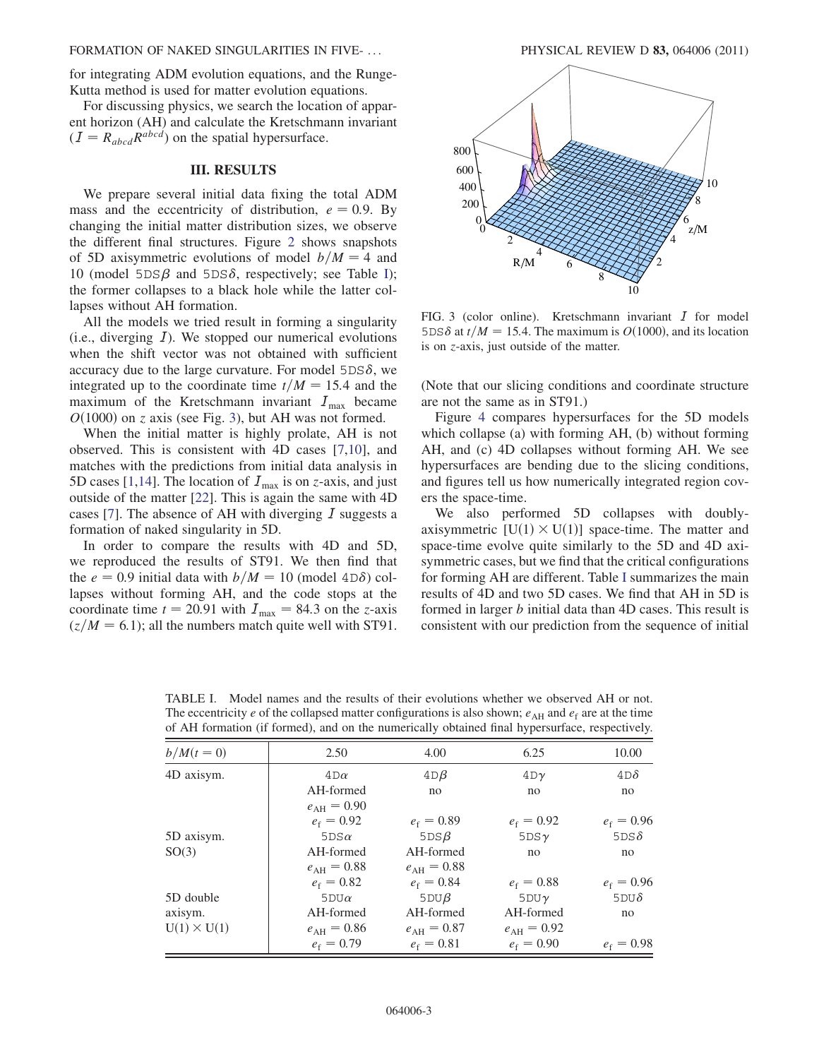#### FORMATION OF NAKED SINGULARITIES IN FIVE- ... PHYSICAL REVIEW D 83, 064006 (2011)

for integrating ADM evolution equations, and the Runge-Kutta method is used for matter evolution equations.

For discussing physics, we search the location of apparent horizon (AH) and calculate the Kretschmann invariant  $(I = R_{abcd}R^{abcd})$  on the spatial hypersurface.

## III. RESULTS

We prepare several initial data fixing the total ADM mass and the eccentricity of distribution,  $e = 0.9$ . By changing the initial matter distribution sizes, we observe the different final structures. Figure [2](#page-1-1) shows snapshots of 5D axisymmetric evolutions of model  $b/M = 4$  and 10 (model  $5DS\beta$  and  $5DS\delta$ , respectively; see Table [I\)](#page-2-0); the former collapses to a black hole while the latter collapses without AH formation.

All the models we tried result in forming a singularity (i.e., diverging  $I$ ). We stopped our numerical evolutions when the shift vector was not obtained with sufficient accuracy due to the large curvature. For model  $5DS\delta$ , we integrated up to the coordinate time  $t/M = 15.4$  and the maximum of the Kretschmann invariant  $I_{\text{max}}$  became  $O(1000)$  on z axis (see Fig. [3\)](#page-2-1), but AH was not formed.

When the initial matter is highly prolate, AH is not observed. This is consistent with 4D cases [\[7,](#page-4-2)[10\]](#page-4-5), and matches with the predictions from initial data analysis in 5D cases [\[1,](#page-4-0)[14\]](#page-4-15). The location of  $I_{\text{max}}$  is on z-axis, and just outside of the matter [[22](#page-4-16)]. This is again the same with 4D cases [[7\]](#page-4-2). The absence of AH with diverging  $I$  suggests a formation of naked singularity in 5D.

In order to compare the results with 4D and 5D, we reproduced the results of ST91. We then find that the  $e = 0.9$  initial data with  $b/M = 10$  (model 4D $\delta$ ) collapses without forming AH, and the code stops at the coordinate time  $t = 20.91$  with  $I_{\text{max}} = 84.3$  on the z-axis  $(z/M = 6.1)$ ; all the numbers match quite well with ST91.

<span id="page-2-1"></span>

FIG. 3 (color online). Kretschmann invariant  $I$  for model 5DS $\delta$  at  $t/M = 15.4$ . The maximum is  $O(1000)$ , and its location is on z-axis, just outside of the matter.

(Note that our slicing conditions and coordinate structure are not the same as in ST91.)

Figure [4](#page-3-0) compares hypersurfaces for the 5D models which collapse (a) with forming AH, (b) without forming AH, and (c) 4D collapses without forming AH. We see hypersurfaces are bending due to the slicing conditions, and figures tell us how numerically integrated region covers the space-time.

We also performed 5D collapses with doublyaxisymmetric  $[U(1) \times U(1)]$  space-time. The matter and space-time evolve quite similarly to the 5D and 4D axisymmetric cases, but we find that the critical configurations for forming AH are different. Table [I](#page-2-0) summarizes the main results of 4D and two 5D cases. We find that AH in 5D is formed in larger b initial data than 4D cases. This result is consistent with our prediction from the sequence of initial

| $b/M(t=0)$         | 2.50                | 4.00                | 6.25                | 10.00        |
|--------------------|---------------------|---------------------|---------------------|--------------|
| 4D axisym.         | $4D\alpha$          | $4D\beta$           | $4D\gamma$          | $4D\delta$   |
|                    | AH-formed           | no                  | no                  | no           |
|                    | $e_{\rm AH} = 0.90$ |                     |                     |              |
|                    | $e_f = 0.92$        | $e_f = 0.89$        | $e_f = 0.92$        | $e_f = 0.96$ |
| 5D axisym.         | $5DS\alpha$         | 5DSB                | 5DSy                | 5DS $\delta$ |
| SO(3)              | AH-formed           | AH-formed           | no                  | no           |
|                    | $e_{\rm AH} = 0.88$ | $e_{\rm AH} = 0.88$ |                     |              |
|                    | $e_f = 0.82$        | $e_f = 0.84$        | $e_f = 0.88$        | $e_f = 0.96$ |
| 5D double          | 5 $D U \alpha$      | 5DUB                | 5DUy                | 5DU $\delta$ |
| axisym.            | AH-formed           | AH-formed           | AH-formed           | no           |
| $U(1) \times U(1)$ | $e_{\rm AH} = 0.86$ | $e_{\rm AH} = 0.87$ | $e_{\rm AH} = 0.92$ |              |
|                    | $e_f = 0.79$        | $e_f = 0.81$        | $e_f = 0.90$        | $e_f = 0.98$ |

<span id="page-2-0"></span>TABLE I. Model names and the results of their evolutions whether we observed AH or not. The eccentricity e of the collapsed matter configurations is also shown;  $e_{\text{AH}}$  and  $e_{\text{f}}$  are at the time of AH formation (if formed), and on the numerically obtained final hypersurface, respectively.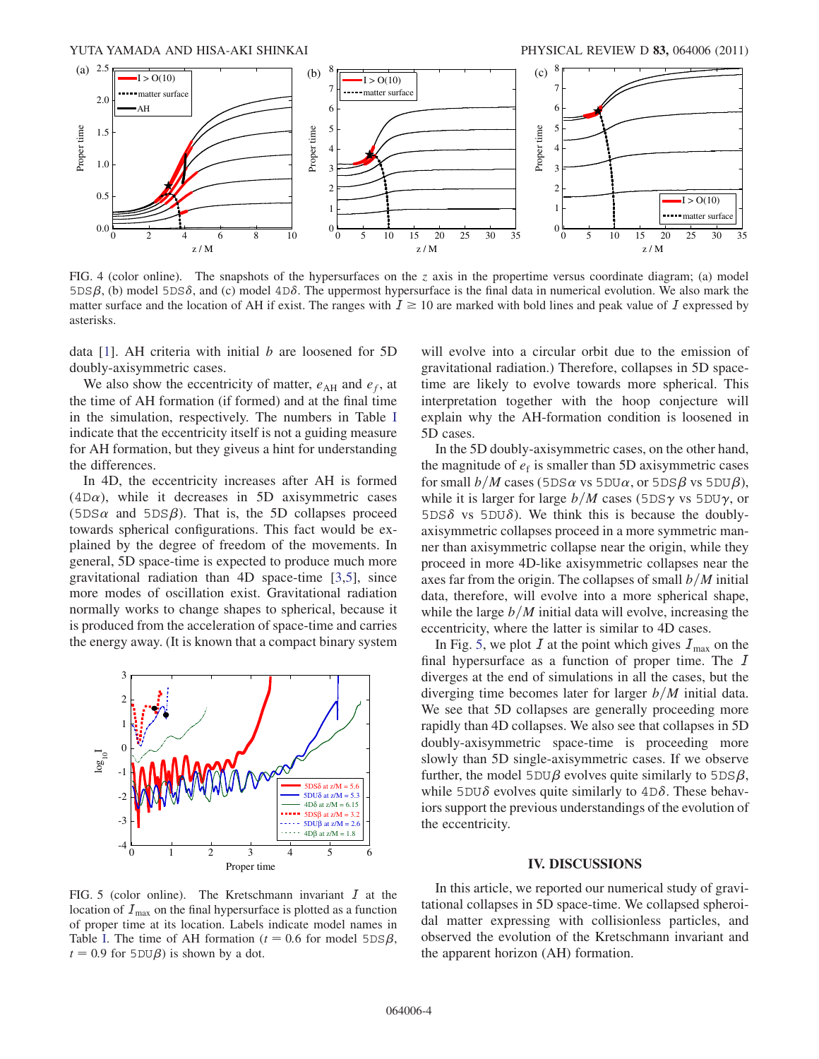<span id="page-3-0"></span>

FIG. 4 (color online). The snapshots of the hypersurfaces on the z axis in the propertime versus coordinate diagram; (a) model  $5DS\beta$ , (b) model  $5DS\delta$ , and (c) model  $4D\delta$ . The uppermost hypersurface is the final data in numerical evolution. We also mark the matter surface and the location of AH if exist. The ranges with  $I \ge 10$  are marked with bold lines and peak value of I expressed by asterisks.

data  $[1]$ . AH criteria with initial  $b$  are loosened for 5D doubly-axisymmetric cases.

We also show the eccentricity of matter,  $e_{AH}$  and  $e_f$ , at the time of AH formation (if formed) and at the final time in the simulation, respectively. The numbers in Table [I](#page-2-0) indicate that the eccentricity itself is not a guiding measure for AH formation, but they giveus a hint for understanding the differences.

In 4D, the eccentricity increases after AH is formed  $(4D\alpha)$ , while it decreases in 5D axisymmetric cases  $(5DS\alpha$  and  $5DS\beta)$ . That is, the 5D collapses proceed towards spherical configurations. This fact would be explained by the degree of freedom of the movements. In general, 5D space-time is expected to produce much more gravitational radiation than 4D space-time [[3](#page-4-17)[,5\]](#page-4-18), since more modes of oscillation exist. Gravitational radiation normally works to change shapes to spherical, because it is produced from the acceleration of space-time and carries the energy away. (It is known that a compact binary system

<span id="page-3-1"></span>

will evolve into a circular orbit due to the emission of gravitational radiation.) Therefore, collapses in 5D spacetime are likely to evolve towards more spherical. This interpretation together with the hoop conjecture will explain why the AH-formation condition is loosened in 5D cases.

In the 5D doubly-axisymmetric cases, on the other hand, the magnitude of  $e_f$  is smaller than 5D axisymmetric cases for small  $b/M$  cases (5DS $\alpha$  vs 5DU $\alpha$ , or 5DS $\beta$  vs 5DU $\beta$ ), while it is larger for large  $b/M$  cases (5DS $\gamma$  vs 5DU $\gamma$ , or  $5DS\delta$  vs  $5DU\delta$ ). We think this is because the doublyaxisymmetric collapses proceed in a more symmetric manner than axisymmetric collapse near the origin, while they proceed in more 4D-like axisymmetric collapses near the axes far from the origin. The collapses of small  $b/M$  initial data, therefore, will evolve into a more spherical shape, while the large  $b/M$  initial data will evolve, increasing the eccentricity, where the latter is similar to 4D cases.

In Fig. [5](#page-3-1), we plot  $I$  at the point which gives  $I_{\text{max}}$  on the final hypersurface as a function of proper time. The I diverges at the end of simulations in all the cases, but the diverging time becomes later for larger  $b/M$  initial data. We see that 5D collapses are generally proceeding more rapidly than 4D collapses. We also see that collapses in 5D doubly-axisymmetric space-time is proceeding more slowly than 5D single-axisymmetric cases. If we observe further, the model  $5DU\beta$  evolves quite similarly to  $5DS\beta$ , while 5DU $\delta$  evolves quite similarly to  $4D\delta$ . These behaviors support the previous understandings of the evolution of the eccentricity.

## IV. DISCUSSIONS

FIG. 5 (color online). The Kretschmann invariant  $I$  at the location of  $I_{\text{max}}$  on the final hypersurface is plotted as a function of proper time at its location. Labels indicate model names in Table [I.](#page-2-0) The time of AH formation ( $t = 0.6$  for model 5DS $\beta$ ,  $t = 0.9$  for  $5DU\beta$ ) is shown by a dot.

In this article, we reported our numerical study of gravitational collapses in 5D space-time. We collapsed spheroidal matter expressing with collisionless particles, and observed the evolution of the Kretschmann invariant and the apparent horizon (AH) formation.